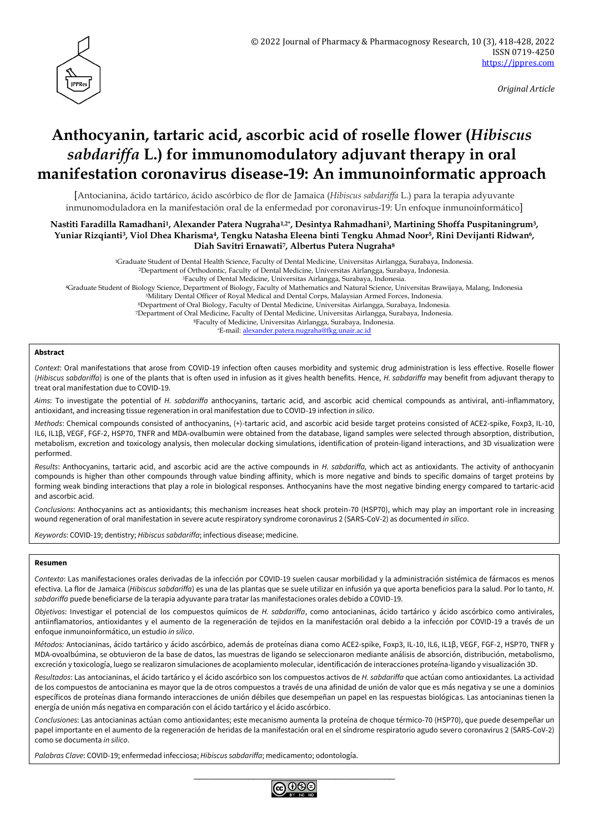

*Original Article*

# **Anthocyanin, tartaric acid, ascorbic acid of roselle flower (***Hibiscus sabdariffa* **L.) for immunomodulatory adjuvant therapy in oral manifestation coronavirus disease-19: An immunoinformatic approach**

[Antocianina, ácido tartárico, ácido ascórbico de flor de Jamaica (*Hibiscus sabdariffa* L.) para la terapia adyuvante inmunomoduladora en la manifestación oral de la enfermedad por coronavirus-19: Un enfoque inmunoinformático]

**Nastiti Faradilla Ramadhani1, Alexander Patera Nugraha1,2\* , Desintya Rahmadhani3, Martining Shoffa Puspitaningrum3, Yuniar Rizqianti3, Viol Dhea Kharisma4, Tengku Natasha Eleena binti Tengku Ahmad Noor5, Rini Devijanti Ridwan6, Diah Savitri Ernawati7, Albertus Putera Nugraha<sup>8</sup>**

<sup>1</sup>Graduate Student of Dental Health Science, Faculty of Dental Medicine, Universitas Airlangga, Surabaya, Indonesia.

<sup>2</sup>Department of Orthodontic, Faculty of Dental Medicine, Universitas Airlangga, Surabaya, Indonesia.

<sup>3</sup>Faculty of Dental Medicine, Universitas Airlangga, Surabaya, Indonesia. <sup>4</sup>Graduate Student of Biology Science, Department of Biology, Faculty of Mathematics and Natural Science, Universitas Brawijaya, Malang, Indonesia

<sup>5</sup>Military Dental Officer of Royal Medical and Dental Corps, Malaysian Armed Forces, Indonesia.

<sup>6</sup>Department of Oral Biology, Faculty of Dental Medicine, Universitas Airlangga, Surabaya, Indonesia.

<sup>7</sup>Department of Oral Medicine, Faculty of Dental Medicine, Universitas Airlangga, Surabaya, Indonesia.

<sup>8</sup>Faculty of Medicine, Universitas Airlangga, Surabaya, Indonesia.

\*E-mail: [alexander.patera.nugraha@fkg.unair.ac.id](mailto:alexander.patera.nugraha@fkg.unair.ac.id)

## **Abstract**

*Context*: Oral manifestations that arose from COVID-19 infection often causes morbidity and systemic drug administration is less effective. Roselle flower (*Hibiscus sabdariffa*) is one of the plants that is often used in infusion as it gives health benefits. Hence, *H. sabdariffa* may benefit from adjuvant therapy to treat oral manifestation due to COVID-19.

*Aims*: To investigate the potential of *H. sabdariffa* anthocyanins, tartaric acid, and ascorbic acid chemical compounds as antiviral, anti-inflammatory, antioxidant, and increasing tissue regeneration in oral manifestation due to COVID-19 infection *in silico*.

*Methods*: Chemical compounds consisted of anthocyanins, (+)-tartaric acid, and ascorbic acid beside target proteins consisted of ACE2-spike, Foxp3, IL-10, IL6, IL1β, VEGF, FGF-2, HSP70, TNFR and MDA-ovalbumin were obtained from the database, ligand samples were selected through absorption, distribution, metabolism, excretion and toxicology analysis, then molecular docking simulations, identification of protein-ligand interactions, and 3D visualization were performed.

*Results*: Anthocyanins, tartaric acid, and ascorbic acid are the active compounds in *H. sabdariffa,* which act as antioxidants. The activity of anthocyanin compounds is higher than other compounds through value binding affinity, which is more negative and binds to specific domains of target proteins by forming weak binding interactions that play a role in biological responses. Anthocyanins have the most negative binding energy compared to tartaric-acid and ascorbic acid.

*Conclusions*: Anthocyanins act as antioxidants; this mechanism increases heat shock protein-70 (HSP70), which may play an important role in increasing wound regeneration of oral manifestation in severe acute respiratory syndrome coronavirus 2 (SARS-CoV-2) as documented *in silico*.

*Keywords*: COVID-19; dentistry; *Hibiscus sabdariffa*; infectious disease; medicine.

#### **Resumen**

*Contexto*: Las manifestaciones orales derivadas de la infección por COVID-19 suelen causar morbilidad y la administración sistémica de fármacos es menos efectiva. La flor de Jamaica (*Hibiscus sabdariffa*) es una de las plantas que se suele utilizar en infusión ya que aporta beneficios para la salud. Por lo tanto, *H. sabdariffa* puede beneficiarse de la terapia adyuvante para tratar las manifestaciones orales debido a COVID-19.

*Objetivos*: Investigar el potencial de los compuestos químicos de *H. sabdariffa*, como antocianinas, ácido tartárico y ácido ascórbico como antivirales, antiinflamatorios, antioxidantes y el aumento de la regeneración de tejidos en la manifestación oral debido a la infección por COVID-19 a través de un enfoque inmunoinformático, un estudio *in silico*.

*Métodos:* Antocianinas, ácido tartárico y ácido ascórbico, además de proteínas diana como ACE2-spike, Foxp3, IL-10, IL6, IL1β, VEGF, FGF-2, HSP70, TNFR y MDA-ovoalbúmina, se obtuvieron de la base de datos, las muestras de ligando se seleccionaron mediante análisis de absorción, distribución, metabolismo, excreción y toxicología, luego se realizaron simulaciones de acoplamiento molecular, identificación de interacciones proteína-ligando y visualización 3D.

*Resultados*: Las antocianinas, el ácido tartárico y el ácido ascórbico son los compuestos activos de *H. sabdariffa* que actúan como antioxidantes. La actividad de los compuestos de antocianina es mayor que la de otros compuestos a través de una afinidad de unión de valor que es más negativa y se une a dominios específicos de proteínas diana formando interacciones de unión débiles que desempeñan un papel en las respuestas biológicas. Las antocianinas tienen la energía de unión más negativa en comparación con el ácido tartárico y el ácido ascórbico.

*Conclusiones*: Las antocianinas actúan como antioxidantes; este mecanismo aumenta la proteína de choque térmico-70 (HSP70), que puede desempeñar un papel importante en el aumento de la regeneración de heridas de la manifestación oral en el síndrome respiratorio agudo severo coronavirus 2 (SARS-CoV-2) como se documenta *in silico*.

*Palabras Clave*: COVID-19; enfermedad infecciosa; *Hibiscus sabdariffa*; medicamento; odontología.

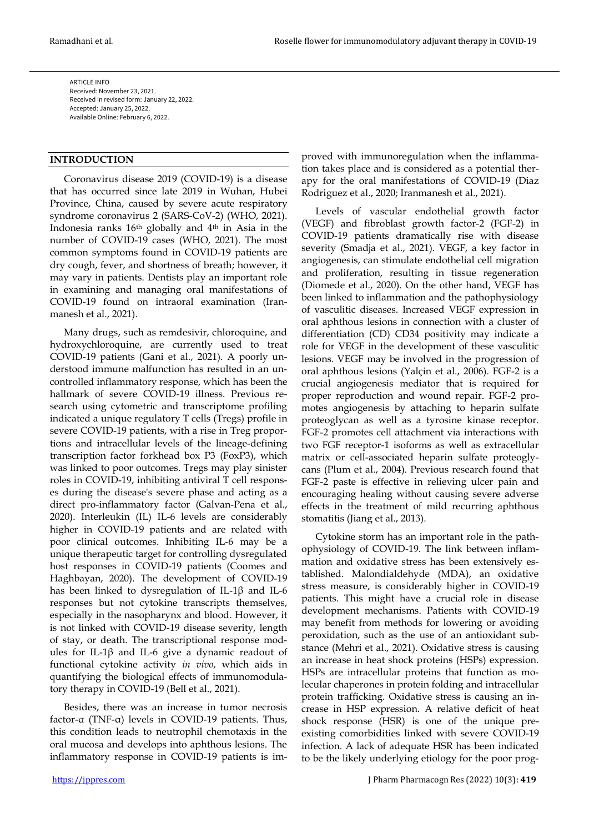ARTICLE INFO Received: November 23, 2021. Received in revised form: January 22, 2022. Accepted: January 25, 2022. Available Online: February 6, 2022.

## **INTRODUCTION**

Coronavirus disease 2019 (COVID-19) is a disease that has occurred since late 2019 in Wuhan, Hubei Province, China, caused by severe acute respiratory syndrome coronavirus 2 (SARS-CoV-2) (WHO, 2021). Indonesia ranks 16th globally and 4th in Asia in the number of COVID-19 cases (WHO, 2021). The most common symptoms found in COVID-19 patients are dry cough, fever, and shortness of breath; however, it may vary in patients. Dentists play an important role in examining and managing oral manifestations of COVID-19 found on intraoral examination (Iranmanesh et al., 2021).

Many drugs, such as remdesivir, chloroquine, and hydroxychloroquine, are currently used to treat COVID-19 patients (Gani et al., 2021). A poorly understood immune malfunction has resulted in an uncontrolled inflammatory response, which has been the hallmark of severe COVID-19 illness. Previous research using cytometric and transcriptome profiling indicated a unique regulatory T cells (Tregs) profile in severe COVID-19 patients, with a rise in Treg proportions and intracellular levels of the lineage-defining transcription factor forkhead box P3 (FoxP3), which was linked to poor outcomes. Tregs may play sinister roles in COVID-19, inhibiting antiviral T cell responses during the disease's severe phase and acting as a direct pro-inflammatory factor (Galvan-Pena et al., 2020). Interleukin (IL) IL-6 levels are considerably higher in COVID-19 patients and are related with poor clinical outcomes. Inhibiting IL-6 may be a unique therapeutic target for controlling dysregulated host responses in COVID-19 patients (Coomes and Haghbayan, 2020). The development of COVID-19 has been linked to dysregulation of IL-1β and IL-6 responses but not cytokine transcripts themselves, especially in the nasopharynx and blood. However, it is not linked with COVID-19 disease severity, length of stay, or death. The transcriptional response modules for IL-1β and IL-6 give a dynamic readout of functional cytokine activity *in vivo*, which aids in quantifying the biological effects of immunomodulatory therapy in COVID-19 (Bell et al., 2021).

Besides, there was an increase in tumor necrosis factor-α (TNF-α) levels in COVID-19 patients. Thus, this condition leads to neutrophil chemotaxis in the oral mucosa and develops into aphthous lesions. The inflammatory response in COVID-19 patients is im-

proved with immunoregulation when the inflammation takes place and is considered as a potential therapy for the oral manifestations of COVID-19 (Diaz Rodriguez et al., 2020; Iranmanesh et al., 2021).

Levels of vascular endothelial growth factor (VEGF) and fibroblast growth factor-2 (FGF-2) in COVID-19 patients dramatically rise with disease severity (Smadja et al., 2021). VEGF, a key factor in angiogenesis, can stimulate endothelial cell migration and proliferation, resulting in tissue regeneration (Diomede et al., 2020). On the other hand, VEGF has been linked to inflammation and the pathophysiology of vasculitic diseases. Increased VEGF expression in oral aphthous lesions in connection with a cluster of differentiation (CD) CD34 positivity may indicate a role for VEGF in the development of these vasculitic lesions. VEGF may be involved in the progression of oral aphthous lesions (Yalçin et al., 2006). FGF-2 is a crucial angiogenesis mediator that is required for proper reproduction and wound repair. FGF-2 promotes angiogenesis by attaching to heparin sulfate proteoglycan as well as a tyrosine kinase receptor. FGF-2 promotes cell attachment via interactions with two FGF receptor-1 isoforms as well as extracellular matrix or cell-associated heparin sulfate proteoglycans (Plum et al., 2004). Previous research found that FGF-2 paste is effective in relieving ulcer pain and encouraging healing without causing severe adverse effects in the treatment of mild recurring aphthous stomatitis (Jiang et al., 2013).

Cytokine storm has an important role in the pathophysiology of COVID-19. The link between inflammation and oxidative stress has been extensively established. Malondialdehyde (MDA), an oxidative stress measure, is considerably higher in COVID-19 patients. This might have a crucial role in disease development mechanisms. Patients with COVID-19 may benefit from methods for lowering or avoiding peroxidation, such as the use of an antioxidant substance (Mehri et al., 2021). Oxidative stress is causing an increase in heat shock proteins (HSPs) expression. HSPs are intracellular proteins that function as molecular chaperones in protein folding and intracellular protein trafficking. Oxidative stress is causing an increase in HSP expression. A relative deficit of heat shock response (HSR) is one of the unique preexisting comorbidities linked with severe COVID-19 infection. A lack of adequate HSR has been indicated to be the likely underlying etiology for the poor prog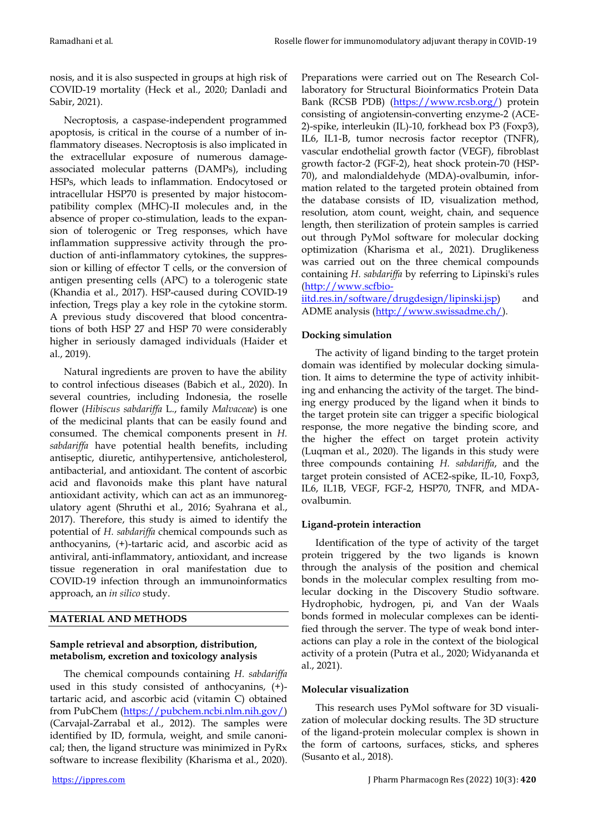nosis, and it is also suspected in groups at high risk of COVID-19 mortality (Heck et al., 2020; Danladi and Sabir, 2021).

Necroptosis, a caspase-independent programmed apoptosis, is critical in the course of a number of inflammatory diseases. Necroptosis is also implicated in the extracellular exposure of numerous damageassociated molecular patterns (DAMPs), including HSPs, which leads to inflammation. Endocytosed or intracellular HSP70 is presented by major histocompatibility complex (MHC)-II molecules and, in the absence of proper co-stimulation, leads to the expansion of tolerogenic or Treg responses, which have inflammation suppressive activity through the production of anti-inflammatory cytokines, the suppression or killing of effector T cells, or the conversion of antigen presenting cells (APC) to a tolerogenic state (Khandia et al., 2017). HSP-caused during COVID-19 infection, Tregs play a key role in the cytokine storm. A previous study discovered that blood concentrations of both HSP 27 and HSP 70 were considerably higher in seriously damaged individuals (Haider et al., 2019).

Natural ingredients are proven to have the ability to control infectious diseases (Babich et al., 2020). In several countries, including Indonesia, the roselle flower (*Hibiscus sabdariffa* L., family *Malvaceae*) is one of the medicinal plants that can be easily found and consumed. The chemical components present in *H. sabdariffa* have potential health benefits, including antiseptic, diuretic, antihypertensive, anticholesterol, antibacterial, and antioxidant. The content of ascorbic acid and flavonoids make this plant have natural antioxidant activity, which can act as an immunoregulatory agent (Shruthi et al., 2016; Syahrana et al., 2017). Therefore, this study is aimed to identify the potential of *H. sabdariffa* chemical compounds such as anthocyanins, (+)-tartaric acid, and ascorbic acid as antiviral, anti-inflammatory, antioxidant, and increase tissue regeneration in oral manifestation due to COVID-19 infection through an immunoinformatics approach, an *in silico* study.

# **MATERIAL AND METHODS**

## **Sample retrieval and absorption, distribution, metabolism, excretion and toxicology analysis**

The chemical compounds containing *H. sabdariffa* used in this study consisted of anthocyanins, (+) tartaric acid, and ascorbic acid (vitamin C) obtained from PubChem [\(https://pubchem.ncbi.nlm.nih.gov/\)](https://pubchem.ncbi.nlm.nih.gov/) (Carvajal-Zarrabal et al., 2012). The samples were identified by ID, formula, weight, and smile canonical; then, the ligand structure was minimized in PyRx software to increase flexibility (Kharisma et al., 2020).

Preparations were carried out on The Research Collaboratory for Structural Bioinformatics Protein Data Bank (RCSB PDB) [\(https://www.rcsb.org/\)](https://www.rcsb.org/) protein consisting of angiotensin-converting enzyme-2 (ACE-2)-spike, interleukin (IL)-10, forkhead box P3 (Foxp3), IL6, IL1-B, tumor necrosis factor receptor (TNFR), vascular endothelial growth factor (VEGF), fibroblast growth factor-2 (FGF-2), heat shock protein-70 (HSP-70), and malondialdehyde (MDA)-ovalbumin, information related to the targeted protein obtained from the database consists of ID, visualization method, resolution, atom count, weight, chain, and sequence length, then sterilization of protein samples is carried out through PyMol software for molecular docking optimization (Kharisma et al., 2021). Druglikeness was carried out on the three chemical compounds containing *H. sabdariffa* by referring to Lipinski's rules [\(http://www.scfbio-](http://www.scfbio-iitd.res.in/software/drugdesign/lipinski.jsp)

[iitd.res.in/software/drugdesign/lipinski.jsp\)](http://www.scfbio-iitd.res.in/software/drugdesign/lipinski.jsp) and ADME analysis [\(http://www.swissadme.ch/\)](http://www.swissadme.ch/).

# **Docking simulation**

The activity of ligand binding to the target protein domain was identified by molecular docking simulation. It aims to determine the type of activity inhibiting and enhancing the activity of the target. The binding energy produced by the ligand when it binds to the target protein site can trigger a specific biological response, the more negative the binding score, and the higher the effect on target protein activity (Luqman et al., 2020). The ligands in this study were three compounds containing *H. sabdariffa*, and the target protein consisted of ACE2-spike, IL-10, Foxp3, IL6, IL1B, VEGF, FGF-2, HSP70, TNFR, and MDAovalbumin.

# **Ligand-protein interaction**

Identification of the type of activity of the target protein triggered by the two ligands is known through the analysis of the position and chemical bonds in the molecular complex resulting from molecular docking in the Discovery Studio software. Hydrophobic, hydrogen, pi, and Van der Waals bonds formed in molecular complexes can be identified through the server. The type of weak bond interactions can play a role in the context of the biological activity of a protein (Putra et al., 2020; Widyananda et al., 2021).

# **Molecular visualization**

This research uses PyMol software for 3D visualization of molecular docking results. The 3D structure of the ligand-protein molecular complex is shown in the form of cartoons, surfaces, sticks, and spheres (Susanto et al., 2018).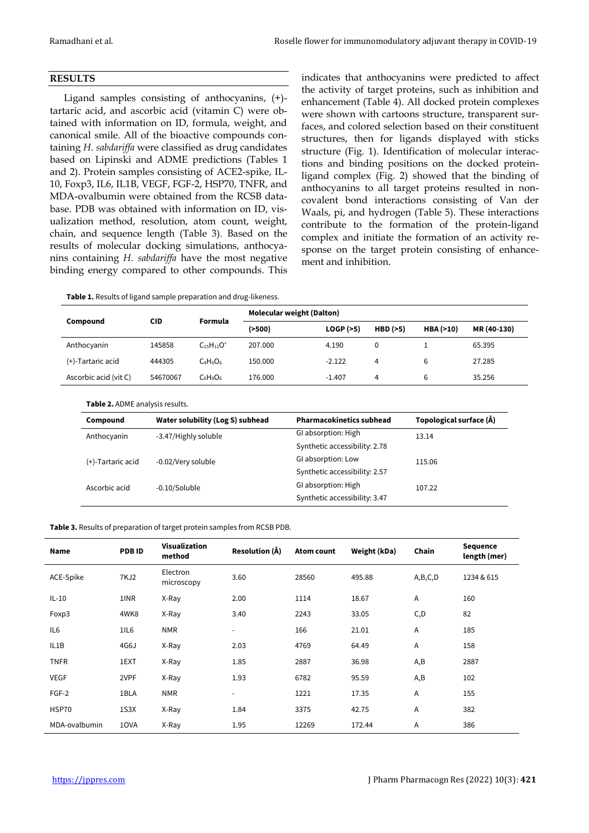## **RESULTS**

Ligand samples consisting of anthocyanins, (+) tartaric acid, and ascorbic acid (vitamin C) were obtained with information on ID, formula, weight, and canonical smile. All of the bioactive compounds containing *H. sabdariffa* were classified as drug candidates based on Lipinski and ADME predictions (Tables 1 and 2). Protein samples consisting of ACE2-spike, IL-10, Foxp3, IL6, IL1B, VEGF, FGF-2, HSP70, TNFR, and MDA-ovalbumin were obtained from the RCSB database. PDB was obtained with information on ID, visualization method, resolution, atom count, weight, chain, and sequence length (Table 3). Based on the results of molecular docking simulations, anthocyanins containing *H. sabdariffa* have the most negative binding energy compared to other compounds. This

**Table 1.** Results of ligand sample preparation and drug-likeness.

indicates that anthocyanins were predicted to affect the activity of target proteins, such as inhibition and enhancement (Table 4). All docked protein complexes were shown with cartoons structure, transparent surfaces, and colored selection based on their constituent structures, then for ligands displayed with sticks structure (Fig. 1). Identification of molecular interactions and binding positions on the docked proteinligand complex (Fig. 2) showed that the binding of anthocyanins to all target proteins resulted in noncovalent bond interactions consisting of Van der Waals, pi, and hydrogen (Table 5). These interactions contribute to the formation of the protein-ligand complex and initiate the formation of an activity response on the target protein consisting of enhancement and inhibition.

| Compound              | <b>CID</b> | Formula           | <b>Molecular weight (Dalton)</b> |          |          |             |             |  |  |
|-----------------------|------------|-------------------|----------------------------------|----------|----------|-------------|-------------|--|--|
|                       |            |                   | ( >500)                          | LOGP(>5) | HBD (>5) | HBA $(>10)$ | MR (40-130) |  |  |
| Anthocyanin           | 145858     | $C_{15}H_{11}O^+$ | 207.000                          | 4.190    | 0        |             | 65.395      |  |  |
| (+)-Tartaric acid     | 444305     | $C_4H_6O_6$       | 150.000                          | $-2.122$ | 4        | 6           | 27.285      |  |  |
| Ascorbic acid (vit C) | 54670067   | $C_6H_8O_6$       | 176.000                          | $-1.407$ | 4        | 6           | 35.256      |  |  |

## **Table 2.** ADME analysis results.

| Compound          | Water solubility (Log S) subhead | <b>Pharmacokinetics subhead</b> | Topological surface (Å) |  |  |
|-------------------|----------------------------------|---------------------------------|-------------------------|--|--|
| Anthocyanin       | -3.47/Highly soluble             | GI absorption: High             | 13.14                   |  |  |
|                   |                                  | Synthetic accessibility: 2.78   |                         |  |  |
| (+)-Tartaric acid | -0.02/Very soluble               | GI absorption: Low              | 115.06                  |  |  |
|                   |                                  | Synthetic accessibility: 2.57   |                         |  |  |
| Ascorbic acid     | -0.10/Soluble                    | GI absorption: High             | 107.22                  |  |  |
|                   |                                  | Synthetic accessibility: 3.47   |                         |  |  |

**Table 3.** Results of preparation of target protein samples from RCSB PDB.

| Name            | <b>PDBID</b> | Visualization<br>method | Resolution (Å)           | <b>Atom count</b> | Weight (kDa) | Chain   | <b>Sequence</b><br>length (mer) |  |
|-----------------|--------------|-------------------------|--------------------------|-------------------|--------------|---------|---------------------------------|--|
| ACE-Spike       | 7KJ2         | Electron<br>microscopy  | 3.60                     | 28560             | 495.88       | A,B,C,D | 1234 & 615                      |  |
| $IL-10$         | 1INR         | X-Ray                   | 2.00                     | 1114              | 18.67        | Α       | 160                             |  |
| Foxp3           | 4WK8         | X-Ray                   | 3.40                     | 2243              | 33.05        | C, D    | 82                              |  |
| IL <sub>6</sub> | 1IL6         | <b>NMR</b>              | $\overline{\phantom{a}}$ | 166               | 21.01        | Α       | 185                             |  |
| IL1B            | 4G6J         | X-Ray                   | 2.03                     | 4769              | 64.49        | Α       | 158                             |  |
| <b>TNFR</b>     | 1EXT         | X-Ray                   | 1.85                     | 2887              | 36.98        | A, B    | 2887                            |  |
| <b>VEGF</b>     | 2VPF         | X-Ray                   | 1.93                     | 6782              | 95.59        | A, B    | 102                             |  |
| FGF-2           | 1BLA         | <b>NMR</b>              | $\blacksquare$           | 1221              | 17.35        | A       | 155                             |  |
| HSP70           | 1S3X         | X-Ray                   | 1.84                     | 3375              | 42.75        | Α       | 382                             |  |
| MDA-ovalbumin   | 10VA         | X-Ray                   | 1.95                     | 12269             | 172.44       | Α       | 386                             |  |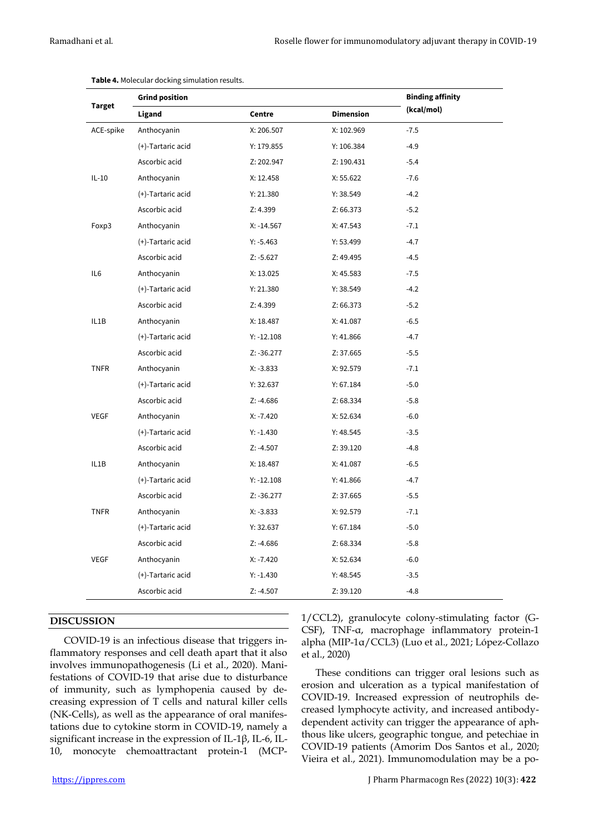|               | <b>Grind position</b> | <b>Binding affinity</b> |                  |                                                                                                                                                                                                                                                                                          |
|---------------|-----------------------|-------------------------|------------------|------------------------------------------------------------------------------------------------------------------------------------------------------------------------------------------------------------------------------------------------------------------------------------------|
| <b>Target</b> | Ligand                | Centre                  | <b>Dimension</b> | (kcal/mol)<br>$-7.5$<br>$-4.9$<br>$-5.4$<br>$-7.6$<br>$-4.2$<br>$-5.2$<br>$-7.1$<br>$-4.7$<br>$-4.5$<br>$-7.5$<br>$-4.2$<br>$-5.2$<br>$-6.5$<br>$-4.7$<br>$-5.5$<br>$-7.1$<br>$-5.0$<br>$-5.8$<br>$-6.0$<br>$-3.5$<br>$-4.8$<br>$-6.5$<br>$-4.7$<br>$-5.5$<br>$-7.1$<br>$-5.0$<br>$-5.8$ |
| ACE-spike     | Anthocyanin           | X: 206.507              | X: 102.969       |                                                                                                                                                                                                                                                                                          |
|               | (+)-Tartaric acid     | Y: 179.855              | Y: 106.384       |                                                                                                                                                                                                                                                                                          |
|               | Ascorbic acid         | Z: 202.947              | Z: 190.431       |                                                                                                                                                                                                                                                                                          |
| $IL-10$       | Anthocyanin           | X: 12.458               | X: 55.622        |                                                                                                                                                                                                                                                                                          |
|               | (+)-Tartaric acid     | Y: 21.380               | Y: 38.549        |                                                                                                                                                                                                                                                                                          |
|               | Ascorbic acid         | Z: 4.399                | Z: 66.373        |                                                                                                                                                                                                                                                                                          |
| Foxp3         | Anthocyanin           | $X: -14.567$            | X: 47.543        |                                                                                                                                                                                                                                                                                          |
|               | (+)-Tartaric acid     | $Y: -5.463$             | Y: 53.499        |                                                                                                                                                                                                                                                                                          |
|               | Ascorbic acid         | $Z: -5.627$             | Z: 49.495        |                                                                                                                                                                                                                                                                                          |
| IL6           | Anthocyanin           | X: 13.025               | X: 45.583        |                                                                                                                                                                                                                                                                                          |
|               | (+)-Tartaric acid     | Y: 21.380               | Y: 38.549        |                                                                                                                                                                                                                                                                                          |
|               | Ascorbic acid         | Z: 4.399                | Z: 66.373        |                                                                                                                                                                                                                                                                                          |
| IL1B          | Anthocyanin           | X: 18.487               | X: 41.087        |                                                                                                                                                                                                                                                                                          |
|               | (+)-Tartaric acid     | $Y: -12.108$            | Y: 41.866        |                                                                                                                                                                                                                                                                                          |
|               | Ascorbic acid         | Z: -36.277              | Z: 37.665        |                                                                                                                                                                                                                                                                                          |
| <b>TNFR</b>   | Anthocyanin           | $X: -3.833$             | X: 92.579        |                                                                                                                                                                                                                                                                                          |
|               | (+)-Tartaric acid     | Y: 32.637               | Y: 67.184        |                                                                                                                                                                                                                                                                                          |
|               | Ascorbic acid         | Z: -4.686               | Z: 68.334        |                                                                                                                                                                                                                                                                                          |
| <b>VEGF</b>   | Anthocyanin           | $X: -7.420$             | X: 52.634        |                                                                                                                                                                                                                                                                                          |
|               | (+)-Tartaric acid     | $Y: -1.430$             | Y: 48.545        |                                                                                                                                                                                                                                                                                          |
|               | Ascorbic acid         | $Z: -4.507$             | Z: 39.120        |                                                                                                                                                                                                                                                                                          |
| IL1B          | Anthocyanin           | X: 18.487               | X: 41.087        |                                                                                                                                                                                                                                                                                          |
|               | (+)-Tartaric acid     | $Y: -12.108$            | Y: 41.866        |                                                                                                                                                                                                                                                                                          |
|               | Ascorbic acid         | $Z: -36.277$            | Z: 37.665        |                                                                                                                                                                                                                                                                                          |
| <b>TNFR</b>   | Anthocyanin           | $X: -3.833$             | X: 92.579        |                                                                                                                                                                                                                                                                                          |
|               | (+)-Tartaric acid     | Y: 32.637               | Y: 67.184        |                                                                                                                                                                                                                                                                                          |
|               | Ascorbic acid         | Z: -4.686               | Z: 68.334        |                                                                                                                                                                                                                                                                                          |
| <b>VEGF</b>   | Anthocyanin           | $X: -7.420$             | X: 52.634        | $-6.0$                                                                                                                                                                                                                                                                                   |
|               | (+)-Tartaric acid     | $Y: -1.430$             | Y: 48.545        | $-3.5$                                                                                                                                                                                                                                                                                   |
|               | Ascorbic acid         | $Z: -4.507$             | Z: 39.120        | $-4.8$                                                                                                                                                                                                                                                                                   |

| Table 4. Molecular docking simulation results. |
|------------------------------------------------|
|                                                |

## **DISCUSSION**

COVID-19 is an infectious disease that triggers inflammatory responses and cell death apart that it also involves immunopathogenesis (Li et al., 2020). Manifestations of COVID-19 that arise due to disturbance of immunity, such as lymphopenia caused by decreasing expression of T cells and natural killer cells (NK-Cells), as well as the appearance of oral manifestations due to cytokine storm in COVID-19, namely a significant increase in the expression of IL-1β, IL-6, IL-10, monocyte chemoattractant protein-1 (MCP- 1/CCL2), granulocyte colony-stimulating factor (G-CSF), TNF-α, macrophage inflammatory protein-1 alpha (MIP-1α/CCL3) (Luo et al., 2021; López-Collazo et al., 2020)

These conditions can trigger oral lesions such as erosion and ulceration as a typical manifestation of COVID-19. Increased expression of neutrophils decreased lymphocyte activity, and increased antibodydependent activity can trigger the appearance of aphthous like ulcers, geographic tongue*,* and petechiae in COVID-19 patients (Amorim Dos Santos et al., 2020; Vieira et al., 2021). Immunomodulation may be a po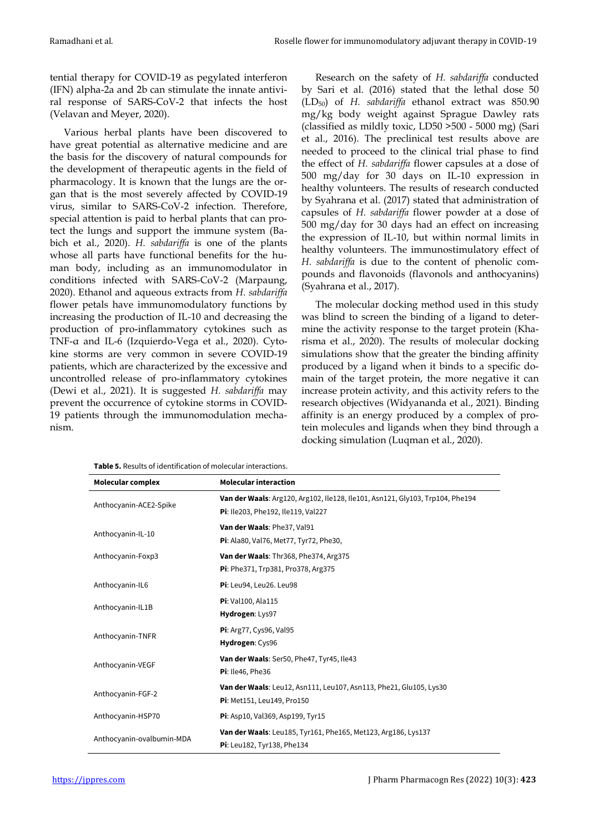tential therapy for COVID-19 as pegylated interferon (IFN) alpha-2a and 2b can stimulate the innate antiviral response of SARS-CoV-2 that infects the host (Velavan and Meyer, 2020).

Various herbal plants have been discovered to have great potential as alternative medicine and are the basis for the discovery of natural compounds for the development of therapeutic agents in the field of pharmacology. It is known that the lungs are the organ that is the most severely affected by COVID-19 virus, similar to SARS-CoV-2 infection. Therefore, special attention is paid to herbal plants that can protect the lungs and support the immune system (Babich et al., 2020). *H. sabdariffa* is one of the plants whose all parts have functional benefits for the human body, including as an immunomodulator in conditions infected with SARS-CoV-2 (Marpaung, 2020). Ethanol and aqueous extracts from *H. sabdariffa* flower petals have immunomodulatory functions by increasing the production of IL-10 and decreasing the production of pro-inflammatory cytokines such as TNF-α and IL-6 (Izquierdo-Vega et al., 2020). Cytokine storms are very common in severe COVID-19 patients, which are characterized by the excessive and uncontrolled release of pro-inflammatory cytokines (Dewi et al., 2021). It is suggested *H. sabdariffa* may prevent the occurrence of cytokine storms in COVID-19 patients through the immunomodulation mechanism.

Research on the safety of *H. sabdariffa* conducted by Sari et al. (2016) stated that the lethal dose 50 (LD50) of *H. sabdariffa* ethanol extract was 850.90 mg/kg body weight against Sprague Dawley rats (classified as mildly toxic, LD50 >500 - 5000 mg) (Sari et al., 2016). The preclinical test results above are needed to proceed to the clinical trial phase to find the effect of *H. sabdariffa* flower capsules at a dose of 500 mg/day for 30 days on IL-10 expression in healthy volunteers. The results of research conducted by Syahrana et al. (2017) stated that administration of capsules of *H. sabdariffa* flower powder at a dose of 500 mg/day for 30 days had an effect on increasing the expression of IL-10, but within normal limits in healthy volunteers. The immunostimulatory effect of *H. sabdariffa* is due to the content of phenolic compounds and flavonoids (flavonols and anthocyanins) (Syahrana et al., 2017).

The molecular docking method used in this study was blind to screen the binding of a ligand to determine the activity response to the target protein (Kharisma et al., 2020). The results of molecular docking simulations show that the greater the binding affinity produced by a ligand when it binds to a specific domain of the target protein, the more negative it can increase protein activity, and this activity refers to the research objectives (Widyananda et al., 2021). Binding affinity is an energy produced by a complex of protein molecules and ligands when they bind through a docking simulation (Luqman et al., 2020).

| Molecular complex         | <b>Molecular interaction</b>                                                  |  |  |  |
|---------------------------|-------------------------------------------------------------------------------|--|--|--|
| Anthocyanin-ACE2-Spike    | Van der Waals: Arg120, Arg102, Ile128, Ile101, Asn121, Gly103, Trp104, Phe194 |  |  |  |
|                           | Pi: Ile203, Phe192, Ile119, Val227                                            |  |  |  |
| Anthocyanin-IL-10         | Van der Waals: Phe37, Val91                                                   |  |  |  |
|                           | Pi: Ala80, Val76, Met77, Tyr72, Phe30,                                        |  |  |  |
| Anthocyanin-Foxp3         | Van der Waals: Thr368, Phe374, Arg375                                         |  |  |  |
|                           | Pi: Phe371, Trp381, Pro378, Arg375                                            |  |  |  |
| Anthocyanin-IL6           | Pi: Leu94, Leu26. Leu98                                                       |  |  |  |
| Anthocyanin-IL1B          | Pi: Val100, Ala115                                                            |  |  |  |
|                           | Hydrogen: Lys97                                                               |  |  |  |
| Anthocyanin-TNFR          | Pi: Arg77, Cys96, Val95                                                       |  |  |  |
|                           | Hydrogen: Cys96                                                               |  |  |  |
| Anthocyanin-VEGF          | Van der Waals: Ser50, Phe47, Tyr45, Ile43                                     |  |  |  |
|                           | Pi: Ile46, Phe36                                                              |  |  |  |
|                           | Van der Waals: Leu12, Asn111, Leu107, Asn113, Phe21, Glu105, Lys30            |  |  |  |
| Anthocyanin-FGF-2         | <b>Pi:</b> Met151, Leu149, Pro150                                             |  |  |  |
| Anthocyanin-HSP70         | Pi: Asp10, Val369, Asp199, Tyr15                                              |  |  |  |
| Anthocyanin-ovalbumin-MDA | Van der Waals: Leu185, Tyr161, Phe165, Met123, Arg186, Lys137                 |  |  |  |
|                           | <b>Pi</b> : Leu182, Tyr138, Phe134                                            |  |  |  |

**Table 5.** Results of identification of molecular interactions.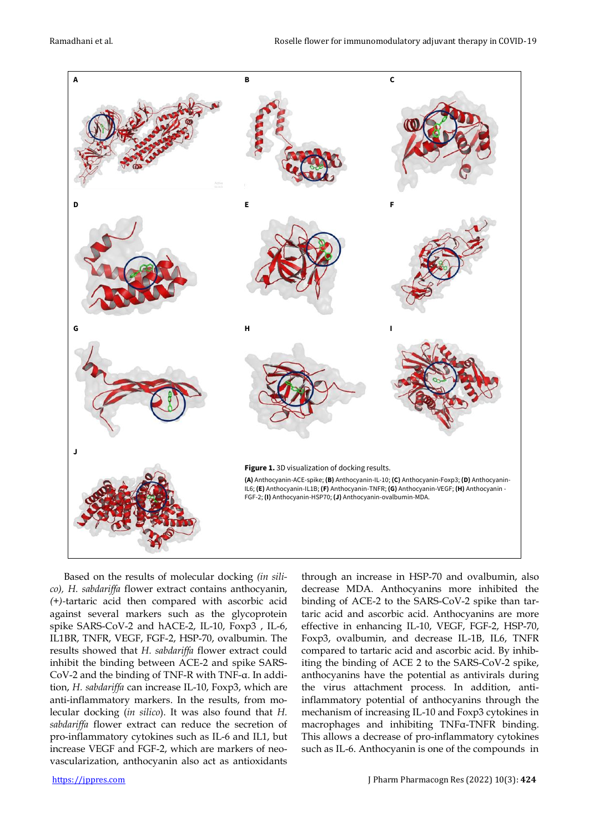

Based on the results of molecular docking *(in silico), H. sabdariffa* flower extract contains anthocyanin, *(+)-*tartaric acid then compared with ascorbic acid against several markers such as the glycoprotein spike SARS-CoV-2 and hACE-2, IL-10, Foxp3 , IL-6, IL1BR, TNFR, VEGF, FGF-2, HSP-70, ovalbumin. The results showed that *H. sabdariffa* flower extract could inhibit the binding between ACE-2 and spike SARS-CoV-2 and the binding of TNF-R with TNF-α. In addition, *H. sabdariffa* can increase IL-10, Foxp3, which are anti-inflammatory markers. In the results, from molecular docking (*in silico*). It was also found that *H. sabdariffa* flower extract can reduce the secretion of pro-inflammatory cytokines such as IL-6 and IL1, but increase VEGF and FGF-2, which are markers of neovascularization, anthocyanin also act as antioxidants

through an increase in HSP-70 and ovalbumin, also decrease MDA. Anthocyanins more inhibited the binding of ACE-2 to the SARS-CoV-2 spike than tartaric acid and ascorbic acid. Anthocyanins are more effective in enhancing IL-10, VEGF, FGF-2, HSP-70, Foxp3, ovalbumin, and decrease IL-1B, IL6, TNFR compared to tartaric acid and ascorbic acid. By inhibiting the binding of ACE 2 to the SARS-CoV-2 spike, anthocyanins have the potential as antivirals during the virus attachment process. In addition, antiinflammatory potential of anthocyanins through the mechanism of increasing IL-10 and Foxp3 cytokines in macrophages and inhibiting TNFα-TNFR binding. This allows a decrease of pro-inflammatory cytokines such as IL-6. Anthocyanin is one of the compounds in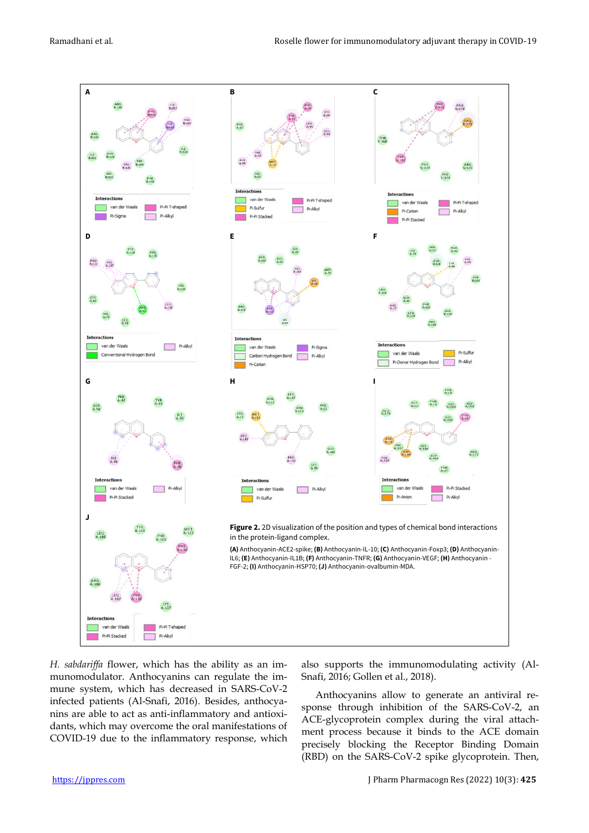

*H. sabdariffa* flower, which has the ability as an immunomodulator. Anthocyanins can regulate the immune system, which has decreased in SARS-CoV-2 infected patients (Al-Snafi, 2016). Besides, anthocyanins are able to act as anti-inflammatory and antioxidants, which may overcome the oral manifestations of COVID-19 due to the inflammatory response, which also supports the immunomodulating activity (Al-Snafi, 2016; Gollen et al., 2018).

Anthocyanins allow to generate an antiviral response through inhibition of the SARS-CoV-2, an ACE-glycoprotein complex during the viral attachment process because it binds to the ACE domain precisely blocking the Receptor Binding Domain (RBD) on the SARS-CoV-2 spike glycoprotein. Then,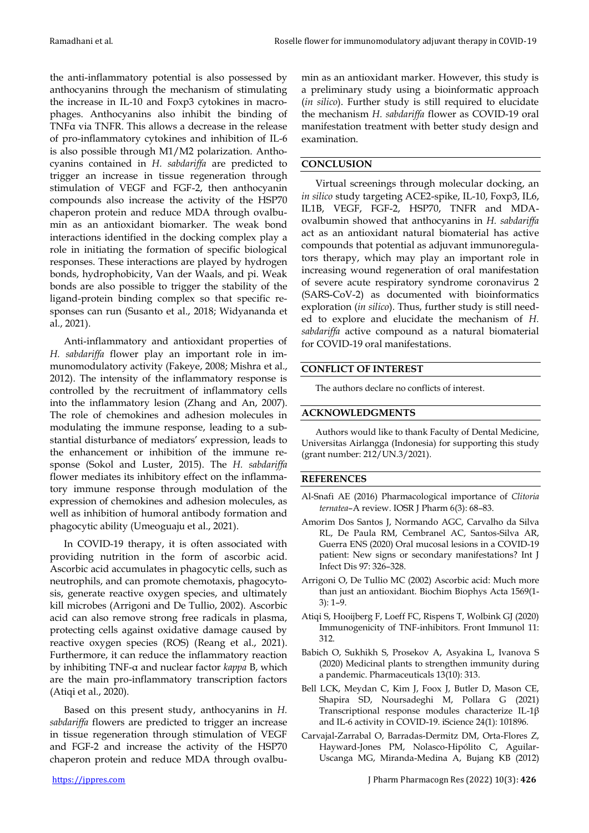the anti-inflammatory potential is also possessed by anthocyanins through the mechanism of stimulating the increase in IL-10 and Foxp3 cytokines in macrophages. Anthocyanins also inhibit the binding of TNFα via TNFR. This allows a decrease in the release of pro-inflammatory cytokines and inhibition of IL-6 is also possible through M1/M2 polarization. Anthocyanins contained in *H. sabdariffa* are predicted to trigger an increase in tissue regeneration through stimulation of VEGF and FGF-2, then anthocyanin compounds also increase the activity of the HSP70 chaperon protein and reduce MDA through ovalbumin as an antioxidant biomarker. The weak bond interactions identified in the docking complex play a role in initiating the formation of specific biological responses. These interactions are played by hydrogen bonds, hydrophobicity, Van der Waals, and pi. Weak bonds are also possible to trigger the stability of the ligand-protein binding complex so that specific responses can run (Susanto et al., 2018; Widyananda et al., 2021).

Anti-inflammatory and antioxidant properties of *H. sabdariffa* flower play an important role in immunomodulatory activity (Fakeye, 2008; Mishra et al., 2012). The intensity of the inflammatory response is controlled by the recruitment of inflammatory cells into the inflammatory lesion (Zhang and An, 2007). The role of chemokines and adhesion molecules in modulating the immune response, leading to a substantial disturbance of mediators' expression, leads to the enhancement or inhibition of the immune response (Sokol and Luster, 2015). The *H. sabdariffa* flower mediates its inhibitory effect on the inflammatory immune response through modulation of the expression of chemokines and adhesion molecules, as well as inhibition of humoral antibody formation and phagocytic ability (Umeoguaju et al., 2021).

In COVID-19 therapy, it is often associated with providing nutrition in the form of ascorbic acid. Ascorbic acid accumulates in phagocytic cells, such as neutrophils, and can promote chemotaxis, phagocytosis, generate reactive oxygen species, and ultimately kill microbes (Arrigoni and De Tullio, 2002). Ascorbic acid can also remove strong free radicals in plasma, protecting cells against oxidative damage caused by reactive oxygen species (ROS) (Reang et al., 2021). Furthermore, it can reduce the inflammatory reaction by inhibiting TNF-α and nuclear factor *kappa* B, which are the main pro-inflammatory transcription factors (Atiqi et al., 2020).

Based on this present study, anthocyanins in *H. sabdariffa* flowers are predicted to trigger an increase in tissue regeneration through stimulation of VEGF and FGF-2 and increase the activity of the HSP70 chaperon protein and reduce MDA through ovalbu-

min as an antioxidant marker. However, this study is a preliminary study using a bioinformatic approach (*in silico*). Further study is still required to elucidate the mechanism *H. sabdariffa* flower as COVID-19 oral manifestation treatment with better study design and examination.

# **CONCLUSION**

Virtual screenings through molecular docking, an *in silico* study targeting ACE2-spike, IL-10, Foxp3, IL6, IL1B, VEGF, FGF-2, HSP70, TNFR and MDAovalbumin showed that anthocyanins in *H. sabdariffa* act as an antioxidant natural biomaterial has active compounds that potential as adjuvant immunoregulators therapy, which may play an important role in increasing wound regeneration of oral manifestation of severe acute respiratory syndrome coronavirus 2 (SARS-CoV-2) as documented with bioinformatics exploration (*in silico*). Thus, further study is still needed to explore and elucidate the mechanism of *H. sabdariffa* active compound as a natural biomaterial for COVID-19 oral manifestations.

## **CONFLICT OF INTEREST**

The authors declare no conflicts of interest.

## **ACKNOWLEDGMENTS**

Authors would like to thank Faculty of Dental Medicine, Universitas Airlangga (Indonesia) for supporting this study (grant number: 212/UN.3/2021).

## **REFERENCES**

- Al-Snafi AE (2016) Pharmacological importance of *Clitoria ternatea*–A review. IOSR J Pharm 6(3): 68–83.
- Amorim Dos Santos J, Normando AGC, Carvalho da Silva RL, De Paula RM, Cembranel AC, Santos-Silva AR, Guerra ENS (2020) Oral mucosal lesions in a COVID-19 patient: New signs or secondary manifestations? Int J Infect Dis 97: 326–328.
- Arrigoni O, De Tullio MC (2002) Ascorbic acid: Much more than just an antioxidant. Biochim Biophys Acta 1569(1- 3): 1–9.
- Atiqi S, Hooijberg F, Loeff FC, Rispens T, Wolbink GJ (2020) Immunogenicity of TNF-inhibitors. Front Immunol 11: 312.
- Babich O, Sukhikh S, Prosekov A, Asyakina L, Ivanova S (2020) Medicinal plants to strengthen immunity during a pandemic. Pharmaceuticals 13(10): 313.
- Bell LCK, Meydan C, Kim J, Foox J, Butler D, Mason CE, Shapira SD, Noursadeghi M, Pollara G (2021) Transcriptional response modules characterize IL-1β and IL-6 activity in COVID-19. iScience 24(1): 101896.
- Carvajal-Zarrabal O, Barradas-Dermitz DM, Orta-Flores Z, Hayward-Jones PM, Nolasco-Hipólito C, Aguilar-Uscanga MG, Miranda-Medina A, Bujang KB (2012)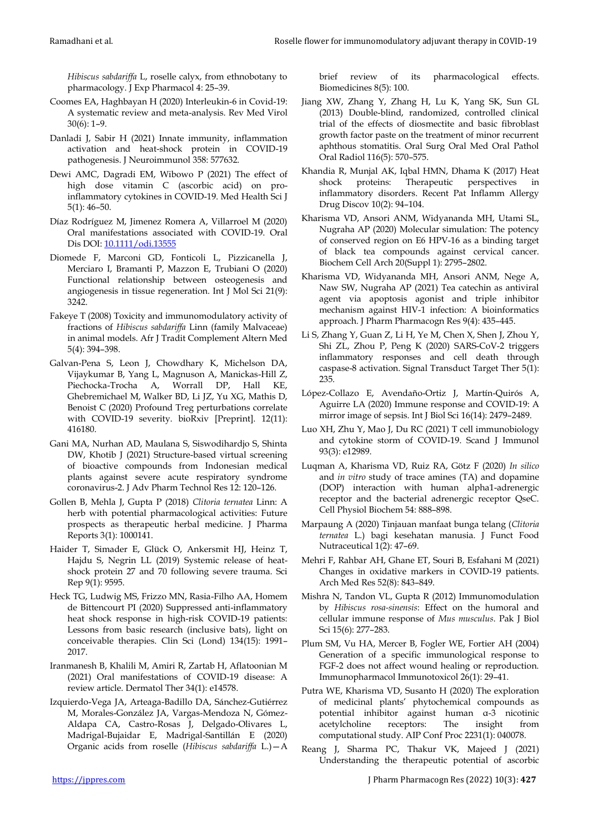*Hibiscus sabdariffa* L, roselle calyx, from ethnobotany to pharmacology. J Exp Pharmacol 4: 25–39.

- Coomes EA, Haghbayan H (2020) Interleukin-6 in Covid-19: A systematic review and meta-analysis. Rev Med Virol 30(6): 1–9.
- Danladi J, Sabir H (2021) Innate immunity, inflammation activation and heat-shock protein in COVID-19 pathogenesis. J Neuroimmunol 358: 577632.
- Dewi AMC, Dagradi EM, Wibowo P (2021) The effect of high dose vitamin C (ascorbic acid) on proinflammatory cytokines in COVID-19. Med Health Sci J 5(1): 46–50.
- Díaz Rodríguez M, Jimenez Romera A, Villarroel M (2020) Oral manifestations associated with COVID‐19. Oral Dis DOI: [10.1111/odi.13555](https://dx.doi.org/10.1111%2Fodi.13555)
- Diomede F, Marconi GD, Fonticoli L, Pizzicanella J, Merciaro I, Bramanti P, Mazzon E, Trubiani O (2020) Functional relationship between osteogenesis and angiogenesis in tissue regeneration. Int J Mol Sci 21(9): 3242.
- Fakeye T (2008) Toxicity and immunomodulatory activity of fractions of *Hibiscus sabdariffa* Linn (family Malvaceae) in animal models. Afr J Tradit Complement Altern Med 5(4): 394–398.
- Galvan-Pena S, Leon J, Chowdhary K, Michelson DA, Vijaykumar B, Yang L, Magnuson A, Manickas-Hill Z, Piechocka-Trocha A, Worrall DP, Hall KE, Ghebremichael M, Walker BD, Li JZ, Yu XG, Mathis D, Benoist C (2020) Profound Treg perturbations correlate with COVID-19 severity. bioRxiv [Preprint]. 12(11): 416180.
- Gani MA, Nurhan AD, Maulana S, Siswodihardjo S, Shinta DW, Khotib J (2021) Structure-based virtual screening of bioactive compounds from Indonesian medical plants against severe acute respiratory syndrome coronavirus-2. J Adv Pharm Technol Res 12: 120–126.
- Gollen B, Mehla J, Gupta P (2018) *Clitoria ternatea* Linn: A herb with potential pharmacological activities: Future prospects as therapeutic herbal medicine. J Pharma Reports 3(1): 1000141.
- Haider T, Simader E, Glück O, Ankersmit HJ, Heinz T, Hajdu S, Negrin LL (2019) Systemic release of heatshock protein 27 and 70 following severe trauma. Sci Rep 9(1): 9595.
- Heck TG, Ludwig MS, Frizzo MN, Rasia-Filho AA, Homem de Bittencourt PI (2020) Suppressed anti-inflammatory heat shock response in high-risk COVID-19 patients: Lessons from basic research (inclusive bats), light on conceivable therapies. Clin Sci (Lond) 134(15): 1991– 2017.
- Iranmanesh B, Khalili M, Amiri R, Zartab H, Aflatoonian M (2021) Oral manifestations of COVID‐19 disease: A review article. Dermatol Ther 34(1): e14578.
- Izquierdo-Vega JA, Arteaga-Badillo DA, Sánchez-Gutiérrez M, Morales-González JA, Vargas-Mendoza N, Gómez-Aldapa CA, Castro-Rosas J, Delgado-Olivares L, Madrigal-Bujaidar E, Madrigal-Santillán E (2020) Organic acids from roselle (*Hibiscus sabdariffa* L.)—A

brief review of its pharmacological effects. Biomedicines 8(5): 100.

- Jiang XW, Zhang Y, Zhang H, Lu K, Yang SK, Sun GL (2013) Double-blind, randomized, controlled clinical trial of the effects of diosmectite and basic fibroblast growth factor paste on the treatment of minor recurrent aphthous stomatitis. Oral Surg Oral Med Oral Pathol Oral Radiol 116(5): 570–575.
- Khandia R, Munjal AK, Iqbal HMN, Dhama K (2017) Heat shock proteins: Therapeutic perspectives in inflammatory disorders. Recent Pat Inflamm Allergy Drug Discov 10(2): 94–104.
- Kharisma VD, Ansori ANM, Widyananda MH, Utami SL, Nugraha AP (2020) Molecular simulation: The potency of conserved region on E6 HPV-16 as a binding target of black tea compounds against cervical cancer. Biochem Cell Arch 20(Suppl 1): 2795–2802.
- Kharisma VD, Widyananda MH, Ansori ANM, Nege A, Naw SW, Nugraha AP (2021) Tea catechin as antiviral agent via apoptosis agonist and triple inhibitor mechanism against HIV-1 infection: A bioinformatics approach. J Pharm Pharmacogn Res 9(4): 435–445.
- Li S, Zhang Y, Guan Z, Li H, Ye M, Chen X, Shen J, Zhou Y, Shi ZL, Zhou P, Peng K (2020) SARS-CoV-2 triggers inflammatory responses and cell death through caspase-8 activation. Signal Transduct Target Ther 5(1): 235.
- López-Collazo E, Avendaño-Ortiz J, Martín-Quirós A, Aguirre LA (2020) Immune response and COVID-19: A mirror image of sepsis. Int J Biol Sci 16(14): 2479–2489.
- Luo XH, Zhu Y, Mao J, Du RC (2021) T cell immunobiology and cytokine storm of COVID-19. Scand J Immunol 93(3): e12989.
- Luqman A, Kharisma VD, Ruiz RA, Götz F (2020) *In silico* and *in vitro* study of trace amines (TA) and dopamine (DOP) interaction with human alpha1-adrenergic receptor and the bacterial adrenergic receptor QseC. Cell Physiol Biochem 54: 888–898.
- Marpaung A (2020) Tinjauan manfaat bunga telang (*Clitoria ternatea* L.) bagi kesehatan manusia. J Funct Food Nutraceutical 1(2): 47–69.
- Mehri F, Rahbar AH, Ghane ET, Souri B, Esfahani M (2021) Changes in oxidative markers in COVID-19 patients. Arch Med Res 52(8): 843–849.
- Mishra N, Tandon VL, Gupta R (2012) Immunomodulation by *Hibiscus rosa-sinensis*: Effect on the humoral and cellular immune response of *Mus musculus*. Pak J Biol Sci 15(6): 277–283.
- Plum SM, Vu HA, Mercer B, Fogler WE, Fortier AH (2004) Generation of a specific immunological response to FGF-2 does not affect wound healing or reproduction. Immunopharmacol Immunotoxicol 26(1): 29–41.
- Putra WE, Kharisma VD, Susanto H (2020) The exploration of medicinal plants' phytochemical compounds as potential inhibitor against human α-3 nicotinic acetylcholine receptors: The insight from computational study. AIP Conf Proc 2231(1): 040078.
- Reang J, Sharma PC, Thakur VK, Majeed J (2021) Understanding the therapeutic potential of ascorbic